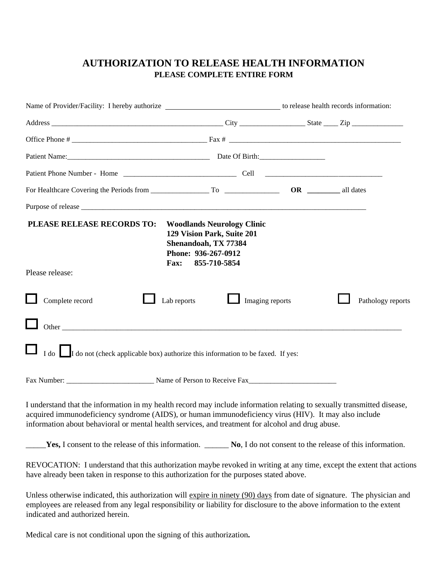## **AUTHORIZATION TO RELEASE HEALTH INFORMATION PLEASE COMPLETE ENTIRE FORM**

|                                                                                                                                                                                                                                                                                                                                       | Name of Provider/Facility: I hereby authorize ___________________________________ to release health records information:                      |  |                   |  |
|---------------------------------------------------------------------------------------------------------------------------------------------------------------------------------------------------------------------------------------------------------------------------------------------------------------------------------------|-----------------------------------------------------------------------------------------------------------------------------------------------|--|-------------------|--|
|                                                                                                                                                                                                                                                                                                                                       |                                                                                                                                               |  |                   |  |
|                                                                                                                                                                                                                                                                                                                                       |                                                                                                                                               |  |                   |  |
|                                                                                                                                                                                                                                                                                                                                       |                                                                                                                                               |  |                   |  |
|                                                                                                                                                                                                                                                                                                                                       |                                                                                                                                               |  |                   |  |
|                                                                                                                                                                                                                                                                                                                                       |                                                                                                                                               |  |                   |  |
|                                                                                                                                                                                                                                                                                                                                       |                                                                                                                                               |  |                   |  |
| PLEASE RELEASE RECORDS TO:                                                                                                                                                                                                                                                                                                            | <b>Woodlands Neurology Clinic</b><br>129 Vision Park, Suite 201<br>Shenandoah, TX 77384<br>Phone: 936-267-0912<br>855-710-5854<br><b>Fax:</b> |  |                   |  |
| Please release:                                                                                                                                                                                                                                                                                                                       |                                                                                                                                               |  |                   |  |
| Complete record<br>Other $\overline{\phantom{a}}$<br>$\Box$ I do not (check applicable box) authorize this information to be faxed. If yes:                                                                                                                                                                                           | Lab reports<br>$\Box$ Imaging reports                                                                                                         |  | Pathology reports |  |
|                                                                                                                                                                                                                                                                                                                                       |                                                                                                                                               |  |                   |  |
| I understand that the information in my health record may include information relating to sexually transmitted disease,<br>acquired immunodeficiency syndrome (AIDS), or human immunodeficiency virus (HIV). It may also include<br>information about behavioral or mental health services, and treatment for alcohol and drug abuse. |                                                                                                                                               |  |                   |  |
| Yes, I consent to the release of this information. _________ No, I do not consent to the release of this information.                                                                                                                                                                                                                 |                                                                                                                                               |  |                   |  |
| REVOCATION: I understand that this authorization maybe revoked in writing at any time, except the extent that actions<br>have already been taken in response to this authorization for the purposes stated above.                                                                                                                     |                                                                                                                                               |  |                   |  |
| Unless otherwise indicated this authorization will evoire in ninety (00) days from date of signature. The physician and                                                                                                                                                                                                               |                                                                                                                                               |  |                   |  |

Unless otherwise indicated, this authorization will expire in ninety (90) days from date of signature. The physician and employees are released from any legal responsibility or liability for disclosure to the above information to the extent indicated and authorized herein.

Medical care is not conditional upon the signing of this authorization**.**